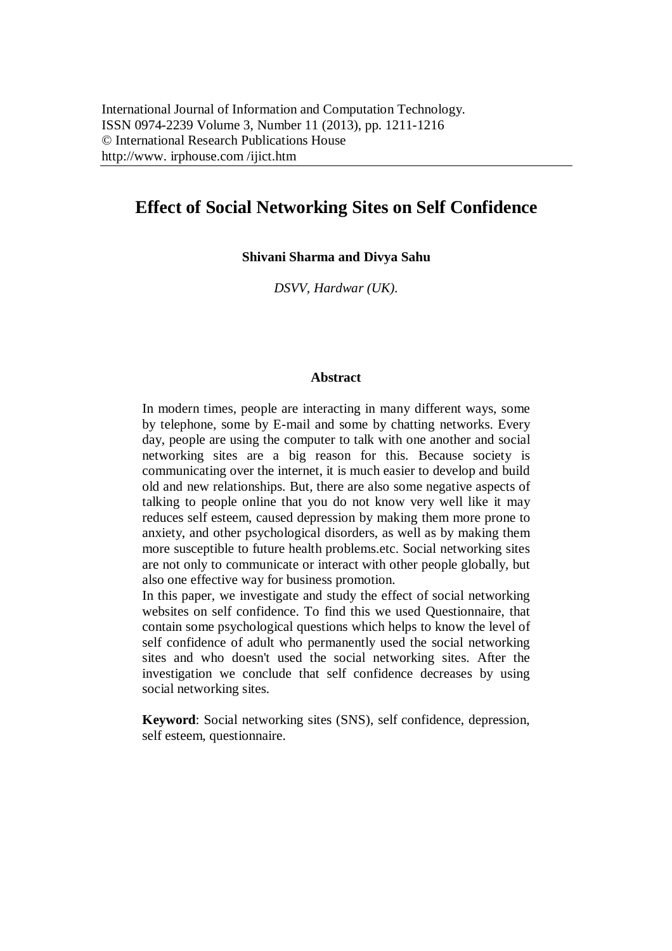# **Effect of Social Networking Sites on Self Confidence**

**Shivani Sharma and Divya Sahu**

*DSVV, Hardwar (UK).*

#### **Abstract**

In modern times, people are interacting in many different ways, some by telephone, some by E-mail and some by chatting networks. Every day, people are using the computer to talk with one another and social networking sites are a big reason for this. Because society is communicating over the internet, it is much easier to develop and build old and new relationships. But, there are also some negative aspects of talking to people online that you do not know very well like it may reduces self esteem, caused depression by making them more prone to anxiety, and other psychological disorders, as well as by making them more susceptible to future health problems.etc. Social networking sites are not only to communicate or interact with other people globally, but also one effective way for business promotion.

In this paper, we investigate and study the effect of social networking websites on self confidence. To find this we used Questionnaire, that contain some psychological questions which helps to know the level of self confidence of adult who permanently used the social networking sites and who doesn't used the social networking sites. After the investigation we conclude that self confidence decreases by using social networking sites.

**Keyword**: Social networking sites (SNS), self confidence, depression, self esteem, questionnaire.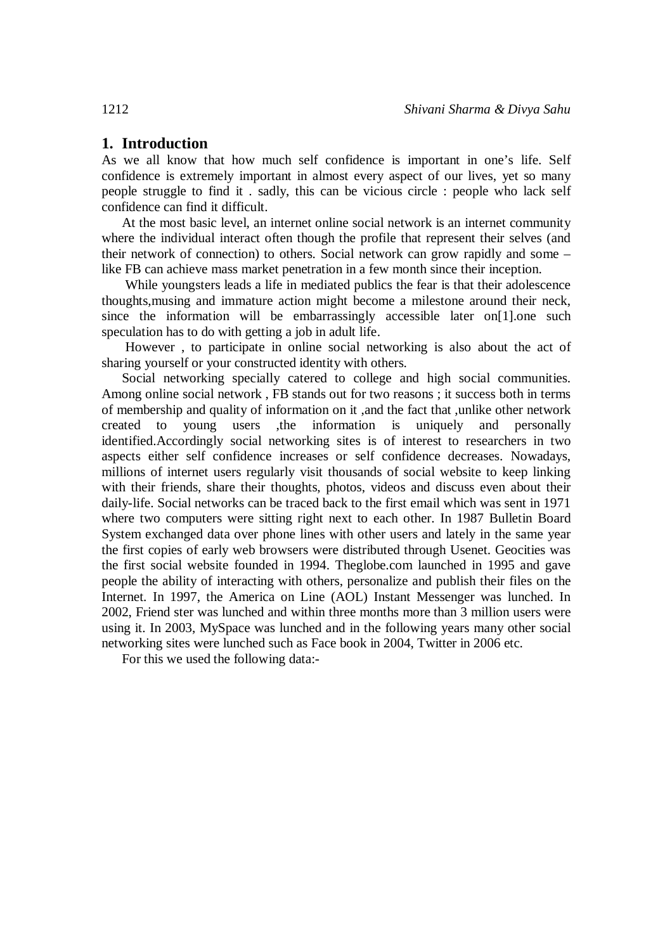## **1. Introduction**

As we all know that how much self confidence is important in one's life. Self confidence is extremely important in almost every aspect of our lives, yet so many people struggle to find it . sadly, this can be vicious circle : people who lack self confidence can find it difficult.

At the most basic level, an internet online social network is an internet community where the individual interact often though the profile that represent their selves (and their network of connection) to others. Social network can grow rapidly and some – like FB can achieve mass market penetration in a few month since their inception.

While youngsters leads a life in mediated publics the fear is that their adolescence thoughts,musing and immature action might become a milestone around their neck, since the information will be embarrassingly accessible later on [1], one such speculation has to do with getting a job in adult life.

However , to participate in online social networking is also about the act of sharing yourself or your constructed identity with others.

Social networking specially catered to college and high social communities. Among online social network , FB stands out for two reasons ; it success both in terms of membership and quality of information on it ,and the fact that ,unlike other network created to young users ,the information is uniquely and personally identified.Accordingly social networking sites is of interest to researchers in two aspects either self confidence increases or self confidence decreases. Nowadays, millions of internet users regularly visit thousands of social website to keep linking with their friends, share their thoughts, photos, videos and discuss even about their daily-life. Social networks can be traced back to the first email which was sent in 1971 where two computers were sitting right next to each other. In 1987 Bulletin Board System exchanged data over phone lines with other users and lately in the same year the first copies of early web browsers were distributed through Usenet. Geocities was the first social website founded in 1994. Theglobe.com launched in 1995 and gave people the ability of interacting with others, personalize and publish their files on the Internet. In 1997, the America on Line (AOL) Instant Messenger was lunched. In 2002, Friend ster was lunched and within three months more than 3 million users were using it. In 2003, MySpace was lunched and in the following years many other social networking sites were lunched such as Face book in 2004, Twitter in 2006 etc.

For this we used the following data:-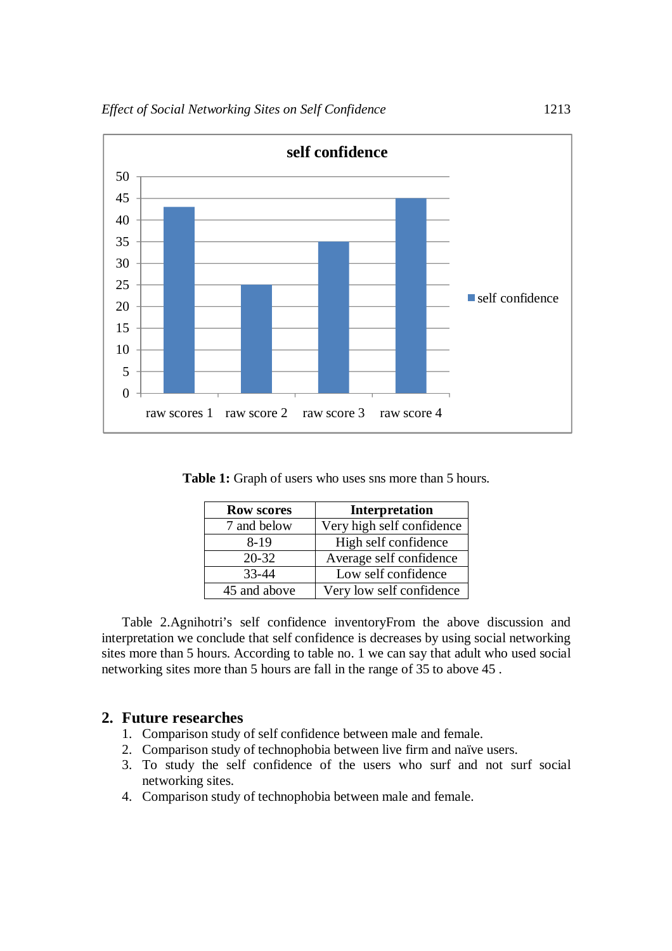

**Table 1:** Graph of users who uses sns more than 5 hours.

| <b>Row scores</b> | Interpretation            |
|-------------------|---------------------------|
| 7 and below       | Very high self confidence |
| 8-19              | High self confidence      |
| $20 - 32$         | Average self confidence   |
| 33-44             | Low self confidence       |
| 45 and above      | Very low self confidence  |

Table 2.Agnihotri's self confidence inventoryFrom the above discussion and interpretation we conclude that self confidence is decreases by using social networking sites more than 5 hours. According to table no. 1 we can say that adult who used social networking sites more than 5 hours are fall in the range of 35 to above 45 .

### **2. Future researches**

- 1. Comparison study of self confidence between male and female.
- 2. Comparison study of technophobia between live firm and naïve users.
- 3. To study the self confidence of the users who surf and not surf social networking sites.
- 4. Comparison study of technophobia between male and female.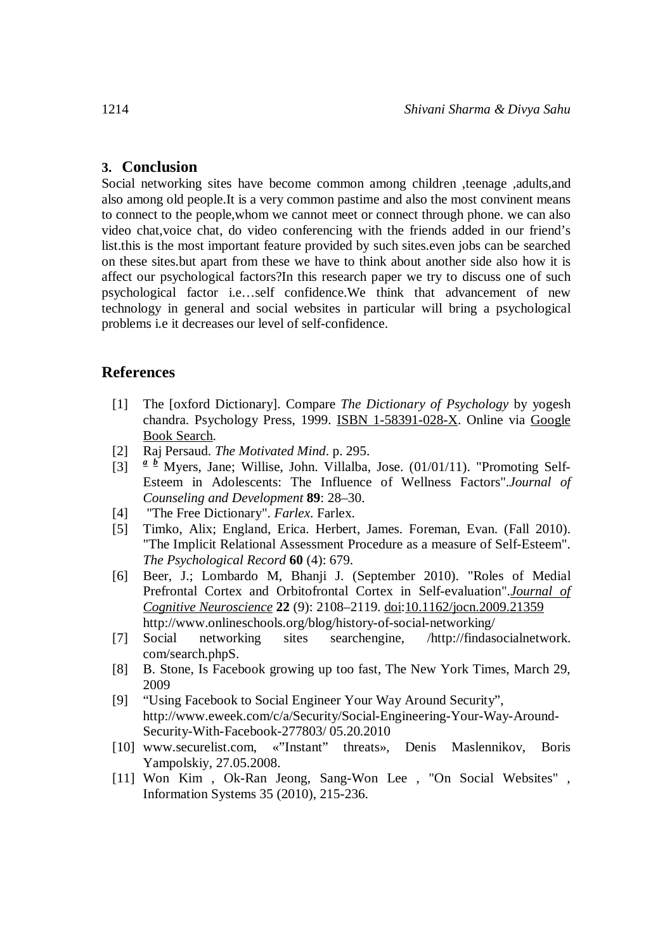### **3. Conclusion**

Social networking sites have become common among children ,teenage ,adults,and also among old people.It is a very common pastime and also the most convinent means to connect to the people,whom we cannot meet or connect through phone. we can also video chat,voice chat, do video conferencing with the friends added in our friend's list.this is the most important feature provided by such sites.even jobs can be searched on these sites.but apart from these we have to think about another side also how it is affect our psychological factors?In this research paper we try to discuss one of such psychological factor i.e…self confidence.We think that advancement of new technology in general and social websites in particular will bring a psychological problems i.e it decreases our level of self-confidence.

#### **References**

- [1] The [oxford Dictionary]. Compare *The Dictionary of Psychology* by yogesh chandra. Psychology Press, 1999. ISBN 1-58391-028-X. Online via Google Book Search.
- [2] Raj Persaud. *The Motivated Mind*. p. 295.
- [3]  $a^{\underline{b}}$  Myers, Jane; Willise, John. Villalba, Jose. (01/01/11). "Promoting Self-Esteem in Adolescents: The Influence of Wellness Factors".*Journal of Counseling and Development* **89**: 28–30.
- [4] "The Free Dictionary". *Farlex*. Farlex.
- [5] Timko, Alix; England, Erica. Herbert, James. Foreman, Evan. (Fall 2010). "The Implicit Relational Assessment Procedure as a measure of Self-Esteem". *The Psychological Record* **60** (4): 679.
- [6] Beer, J.; Lombardo M, Bhanji J. (September 2010). "Roles of Medial Prefrontal Cortex and Orbitofrontal Cortex in Self-evaluation".*Journal of Cognitive Neuroscience* **22** (9): 2108–2119. doi:10.1162/jocn.2009.21359 http://www.onlineschools.org/blog/history-of-social-networking/
- [7] Social networking sites searchengine, /http://findasocialnetwork. com/search.phpS.
- [8] B. Stone, Is Facebook growing up too fast, The New York Times, March 29, 2009
- [9] "Using Facebook to Social Engineer Your Way Around Security", http://www.eweek.com/c/a/Security/Social-Engineering-Your-Way-Around-Security-With-Facebook-277803/ 05.20.2010
- [10] www.securelist.com, «"Instant" threats», Denis Maslennikov, Boris Yampolskiy, 27.05.2008.
- [11] Won Kim , Ok-Ran Jeong, Sang-Won Lee , "On Social Websites" , Information Systems 35 (2010), 215-236.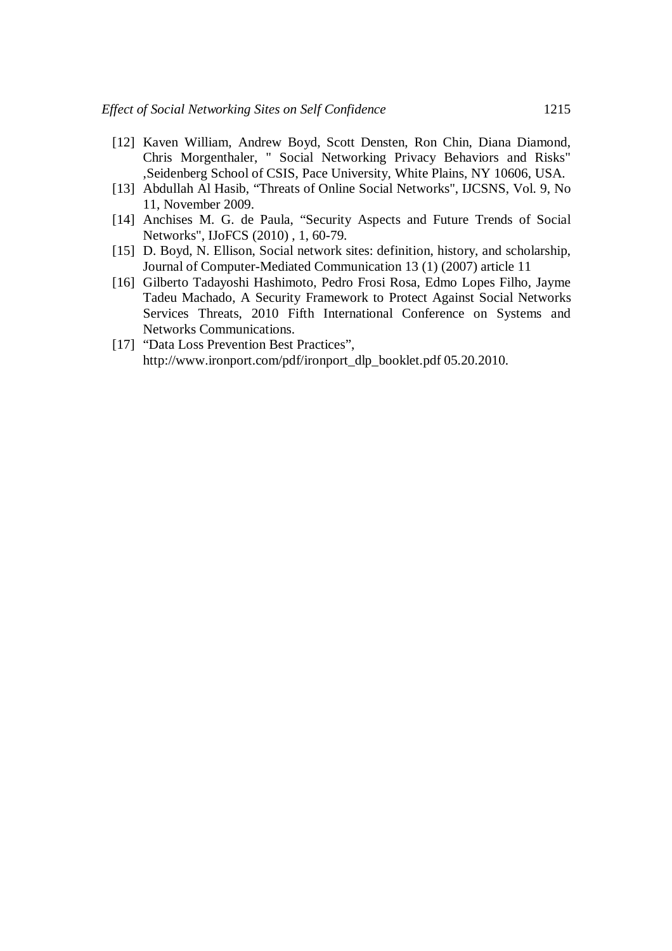- [12] Kaven William, Andrew Boyd, Scott Densten, Ron Chin, Diana Diamond, Chris Morgenthaler, " Social Networking Privacy Behaviors and Risks" ,Seidenberg School of CSIS, Pace University, White Plains, NY 10606, USA.
- [13] Abdullah Al Hasib, "Threats of Online Social Networks", IJCSNS, Vol. 9, No 11, November 2009.
- [14] Anchises M. G. de Paula, "Security Aspects and Future Trends of Social Networks", IJoFCS (2010) , 1, 60-79.
- [15] D. Boyd, N. Ellison, Social network sites: definition, history, and scholarship, Journal of Computer-Mediated Communication 13 (1) (2007) article 11
- [16] Gilberto Tadayoshi Hashimoto, Pedro Frosi Rosa, Edmo Lopes Filho, Jayme Tadeu Machado, A Security Framework to Protect Against Social Networks Services Threats, 2010 Fifth International Conference on Systems and Networks Communications.
- [17] "Data Loss Prevention Best Practices", http://www.ironport.com/pdf/ironport\_dlp\_booklet.pdf 05.20.2010.